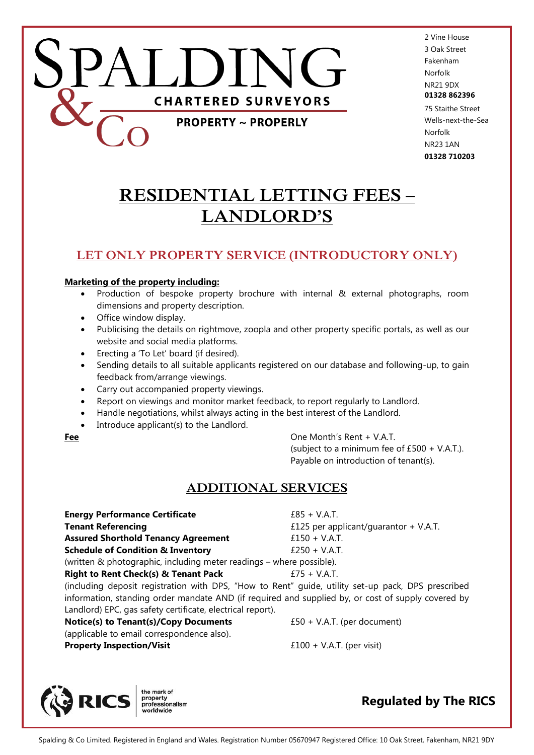

2 Vine House 3 Oak Street Fakenham Norfolk NR21 9DX **01328 862396** 75 Staithe Street Wells-next-the-Sea Norfolk NR23 1AN

**01328 710203**

**RESIDENTIAL LETTING FEES – LANDLORD'S**

## **LET ONLY PROPERTY SERVICE (INTRODUCTORY ONLY)**

### **Marketing of the property including:**

- Production of bespoke property brochure with internal & external photographs, room dimensions and property description.
- Office window display.
- Publicising the details on rightmove, zoopla and other property specific portals, as well as our website and social media platforms.
- Erecting a 'To Let' board (if desired).
- Sending details to all suitable applicants registered on our database and following-up, to gain feedback from/arrange viewings.
- Carry out accompanied property viewings.
- Report on viewings and monitor market feedback, to report regularly to Landlord.
- Handle negotiations, whilst always acting in the best interest of the Landlord.
- Introduce applicant(s) to the Landlord.

**Fee** One Month's Rent + V.A.T. (subject to a minimum fee of £500 + V.A.T.). Payable on introduction of tenant(s).

## **ADDITIONAL SERVICES**

**Energy Performance Certificate** *E85 + V.A.T.* **Tenant Referencing E125 per applicant/guarantor + V.A.T. Assured Shorthold Tenancy Agreement**  $f150 + V.A.T.$ **Schedule of Condition & Inventory** E250 + V.A.T. (written & photographic, including meter readings – where possible). **Right to Rent Check(s) & Tenant Pack** E75 + V.A.T. (including deposit registration with DPS, "How to Rent" guide, utility set-up pack, DPS prescribed information, standing order mandate AND (if required and supplied by, or cost of supply covered by

Landlord) EPC, gas safety certificate, electrical report). **Notice(s) to Tenant(s)/Copy Documents**  $£50 + V.A.T.$  (per document) (applicable to email correspondence also). **Property Inspection/Visit**  $f100 + V.A.T.$  (per visit)



**Regulated by The RICS**